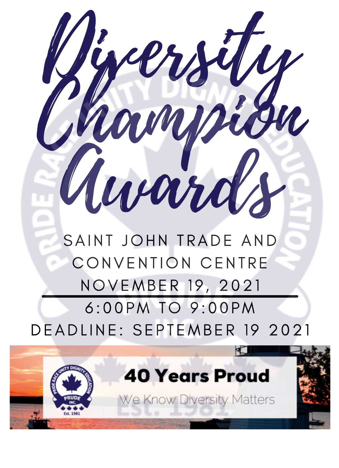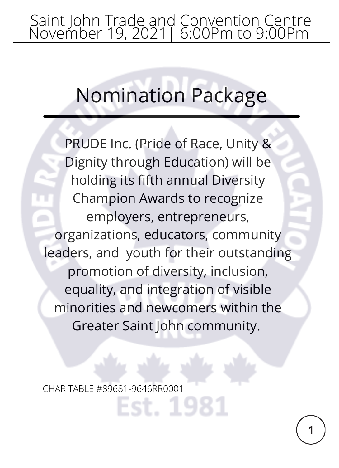### Saint John Trade and Convention Centre November 19, 2021| 6:00Pm to 9:00Pm

# Nomination Package

PRUDE Inc. (Pride of Race, Unity & Dignity through Education) will be holding its fifth annual Diversity Champion Awards to recognize employers, entrepreneurs, organizations, educators, community leaders, and youth for their outstanding promotion of diversity, inclusion, equality, and integration of visible minorities and newcomers within the Greater Saint John community.

st. 1981

CHARITABLE #89681-9646RR0001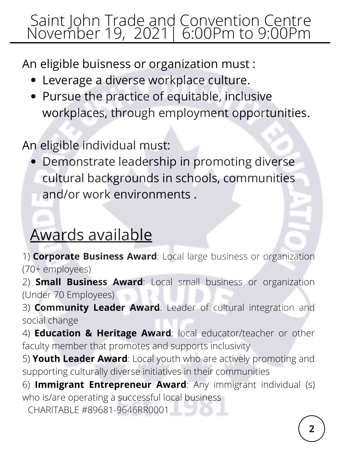### Saint John Trade and Convention Centre November 19, 2021| 6:00Pm to 9:00Pm

An eligible buisness or organization must :

- Leverage a diverse workplace culture.
- Pursue the practice of equitable, inclusive workplaces, through employment opportunities.

An eligible individual must:

Demonstrate leadership in promoting diverse cultural backgrounds in schools, communities and/or work environments .

### Awards available

1) **Corporate Business Award**: Local large business or organization (70+ employees)

2) **Small Business Award**: Local small business or organization (Under 70 Employees)

3) **Community Leader Award**: Leader of cultural integration and social change

4) **Education & Heritage Award**: local educator/teacher or other faculty member that promotes and supports inclusivity

5) **Youth Leader Award**: Local youth who are actively promoting and supporting culturally diverse initiatives in their communities

6) **Immigrant Entrepreneur Award**: Any immigrant individual (s) who is/are operating a successful local business

CHARITABLE #89681-9646RR0001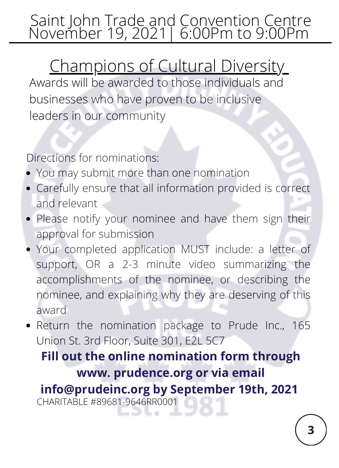### Saint John Trade and Convention Centre November 19, 2021| 6:00Pm to 9:00Pm

## Champions of Cultural Diversity

Awards will be awarded to those individuals and businesses who have proven to be inclusive leaders in our community

Directions for nominations:

- You may submit more than one nomination
- Carefully ensure that all information provided is correct and relevant
- Please notify your nominee and have them sign their approval for submission
- Your completed application MUST include: a letter of support, OR a 2-3 minute video summarizing the accomplishments of the nominee, or describing the nominee, and explaining why they are deserving of this award
- Return the nomination package to Prude Inc., 165 Union St. 3rd Floor, Suite 301, E2L 5C7

**Fill out the online nomination form through www. prudence.org or via email info@prudeinc.org by September 19th, 2021** CHARITABLE #89681-9646RR00